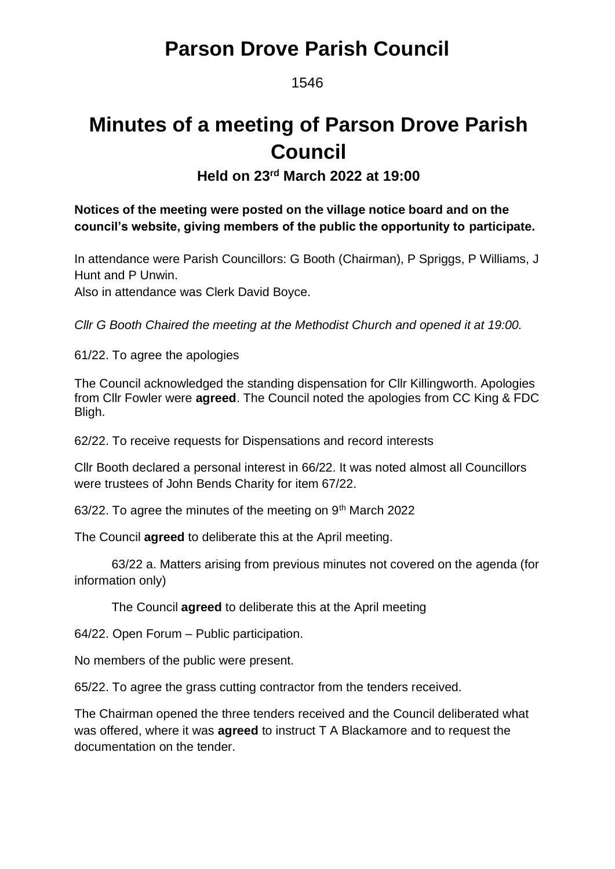### **Parson Drove Parish Council**

1546

# **Minutes of a meeting of Parson Drove Parish Council**

**Held on 23rd March 2022 at 19:00**

### **Notices of the meeting were posted on the village notice board and on the council's website, giving members of the public the opportunity to participate.**

In attendance were Parish Councillors: G Booth (Chairman), P Spriggs, P Williams, J Hunt and P Unwin.

Also in attendance was Clerk David Boyce.

*Cllr G Booth Chaired the meeting at the Methodist Church and opened it at 19:00.*

61/22. To agree the apologies

The Council acknowledged the standing dispensation for Cllr Killingworth. Apologies from Cllr Fowler were **agreed**. The Council noted the apologies from CC King & FDC Bligh.

62/22. To receive requests for Dispensations and record interests

Cllr Booth declared a personal interest in 66/22. It was noted almost all Councillors were trustees of John Bends Charity for item 67/22.

63/22. To agree the minutes of the meeting on 9<sup>th</sup> March 2022

The Council **agreed** to deliberate this at the April meeting.

63/22 a. Matters arising from previous minutes not covered on the agenda (for information only)

The Council **agreed** to deliberate this at the April meeting

64/22. Open Forum – Public participation.

No members of the public were present.

65/22. To agree the grass cutting contractor from the tenders received.

The Chairman opened the three tenders received and the Council deliberated what was offered, where it was **agreed** to instruct T A Blackamore and to request the documentation on the tender.